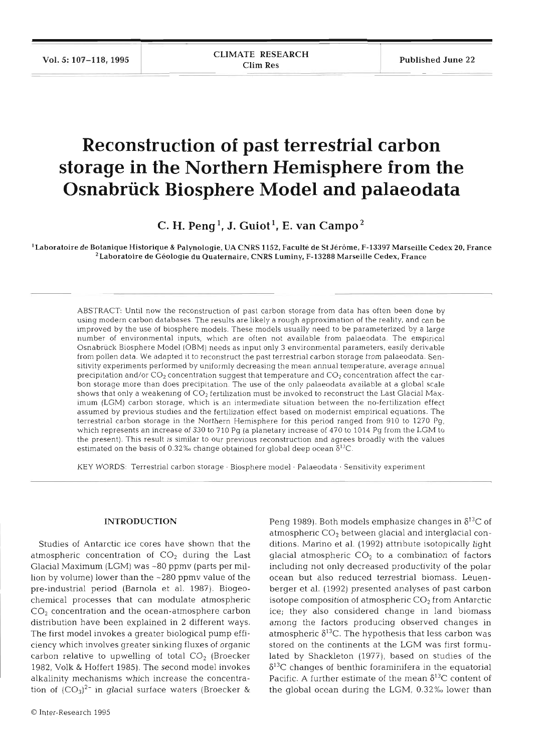# **Reconstruction of past terrestrial carbon storage in the Northern Hemisphere from the Osnabrück Biosphere Model and palaeodata**

 $C.$  **H.** Peng<sup>1</sup>, J. Guiot<sup>1</sup>, E. van Campo<sup>2</sup>

<sup>1</sup> Laboratoire de Botanique Historique & Palynologie, UA CNRS 1152, Faculté de St Jérôme, F-13397 Marseille Cedex 20, France  $2$ Laboratoire de Géologie du Quaternaire, CNRS Luminy, F-13288 Marseille Cedex, France

ABSTRACT: Until now the reconstruction of past carbon storage from data has often been done by using modern carbon databases The results are likely a rough approximation of the reality, and can be improved by the use of biosphere models. These models usually need to be parameterized by a large number of environmental inputs, which are often not available from palaeodata The empirical Osnabriick Biosphere Model (OBM) needs as input only 3 environmental parameters, easily derivable from pollen data. We adapted it to reconstruct the past terrestrial carbon storage from palaeodata. Sensitivity experiments performed by uniformly decreasing the mean annual temperature, average annual precipitation and/or CO<sub>2</sub> concentration suggest that temperature and CO<sub>2</sub> concentration affect the carbon storage more than does precipitation. The use of the only palaeodata available at a global scale shows that only a weakening of  $CO<sub>2</sub>$  fertilization must be invoked to reconstruct the Last Glacial Maximum (LGM) carbon storage, which is an intermediate situation between the no-fertilization effect assumed by previous studies and the fertilization effect based on modernist empirical equations. The terrestrial carbon storage in the Northern Hemisphere for this period ranged from 910 to 1270 Pg, which represents an increase of 330 to 710 Pg (a planetary increase of 470 to 1014 Pg from the LGM to the present). This result is similar to our previous reconstruction and agrees broadly with the values estimated on the basis of 0.32% change obtained for global deep ocean  $\delta^{13}C$ .

KEY WORDS: Terrestrial carbon storage . Biosphere model . Palaeodata . Sensitivity experiment

### INTRODUCTION

Studies of Antarctic ice cores have shown that the atmospheric concentration of  $CO<sub>2</sub>$  during the Last Glacial Maximum (LGM) was -80 ppmv (parts per million by volume) lower than the -280 ppmv value of the pre-industrial period (Barnola et al. 1987). Biogeochemical processes that can modulate atmospheric  $CO<sub>2</sub>$  concentration and the ocean-atmosphere carbon distribution have been explained in 2 different ways. The first model invokes a greater biological pump efficiency which involves greater sinking fluxes of organic carbon relative to upwelling of total  $CO<sub>2</sub>$  (Broecker 1982, Volk & Hoffert 1985). The second model invokes alkalinity mechanisms which increase the concentration of  $(CO_3)^{2-}$  in glacial surface waters (Broecker &

Peng 1989). Both models emphasize changes in  $\delta^{13}C$  of atmospheric  $CO<sub>2</sub>$  between glacial and interglacial conditions. Marino et al. (1992) attribute isotopically light glacial atmospheric  $CO<sub>2</sub>$  to a combination of factors including not only decreased productivity of the polar ocean but also reduced terrestrial biomass. Leuenberger et al. (1992) presented analyses of past carbon isotope composition of atmospheric  $CO<sub>2</sub>$  from Antarctic ice; they also considered change in land biomass among the factors producing observed changes in atmospheric  $\delta^{13}$ C. The hypothesis that less carbon was stored on the continents at the LGM was first formulated by Shackleton (1977), based on studies of the  $\delta^{13}$ C changes of benthic foraminifera in the equatorial Pacific. A further estimate of the mean  $\delta^{13}$ C content of the global ocean during the LGM, 0.32% lower than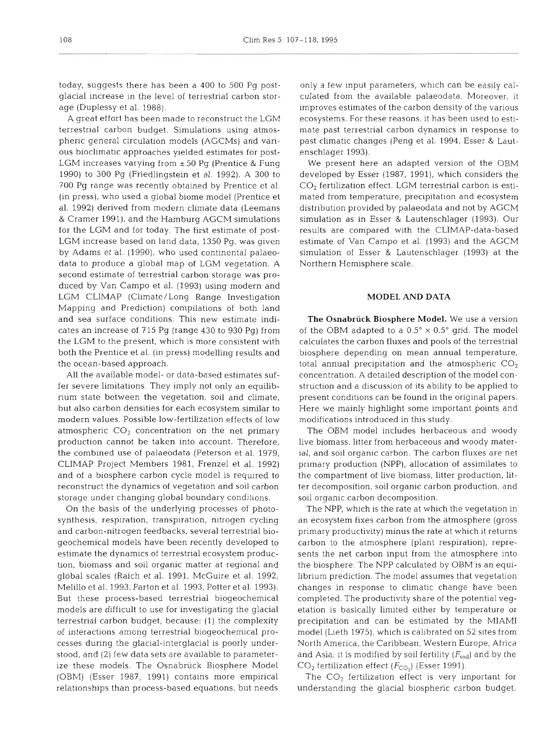today, suggests there has been a 400 to 500 Pg postglacial increase in the level of terrestrial carbon storage (Duplessy et al. 1988).

A great effort has been made to reconstruct the LGM terrestrial carbon budget. Simulations using atmospheric general circulation models (AGCMs) and various bioclimatic approaches yielded estimates for post-LGM increases varying from  $\pm 50$  Pg (Prentice & Fung 1990) to 300 Pg (Friedlingstein et al. 1992). A 300 to 700 Pg range was recently obtained by Prentice et al. (in press), who used a global biome model (Prentice et al. 1992) derived from modern climate data (Leemans & Cramer 1991), and the Hamburg AGCM simulations for the LGM and for today. The first estimate of post-LGM increase based on land data, 1350 Pg, was given by Adams et al. (1990), who used continental palaeodata to produce a global map of LGM vegetation. A second estimate of terrestrial carbon storage was produced by Van Campo et al. (1993) using modern and LGM CLIMAP (Climate/Long Range Investigation Mapping and Prediction) compilations of both land and sea surface conditions. This new estimate indicates an increase of 715 Pg (range 430 to 930 Pg) from the LGM to the present, which is more consistent with both the Prentice et al. (in press) modelling results and the ocean-based approach.

All the available model- or data-based estimates suffer severe limitations. They imply not only an equilibrium state between the vegetation, soil and climate, but also carbon densities for each ecosystem similar to modern values. Possible low-fertilization effects of low atmospheric  $CO<sub>2</sub>$  concentration on the net primary production cannot be taken into account. Therefore, the combined use of palaeodata (Peterson et al. 1979, CLIMAP Project Members 1981, Frenzel et al. 1992) and of a biosphere carbon cycle model is required to reconstruct the dynamics of vegetation and soil carbon storage under changing global boundary conditions.

On the basis of the underlying processes of photosynthesis, respiration, transpiration, nitrogen cycling and carbon-nitrogen feedbacks, several terrestrial biogeochemical models have been recently developed to estimate the dynamics of terrestrial ecosystem production, biomass and soil organic matter at regional and global scales (Raich et al. 1991, McGuire et al. 1992, Melillo et al. 1993. Parton et al. 1993, Potter et al. 1993). But these process-based terrestrial biogeochemical models are difficult to use for investigating the glacial terrestrial carbon budget, because: (1) the complexity of interactions among terrestrial biogeochemical processes during the glacial-interglacial is poorly understood, and (2) few data sets are available to parameterize these models. The Osnabriick Biosphere Model (OBM) (Esser 1987, 1991) contains more empirical relationships than process-based equations, but needs

only a few input parameters, which can be easily calculated from the available palaeodata. Moreover, it improves estimates of the carbon density of the various ecosystems. For these reasons, it has been used to estimate past terrestrial carbon dynamics in response to past climatic changes (Peng et al. 1994, Esser & Lautenschlager 1993).

We present here an adapted version of the OBM developed by Esser (1987, 1991), which considers the *CO2* fertilization effect. LGM terrestrial carbon is estimated from temperature, precipitation and ecosystem distribution provided by palaeodata and not by AGCM simulation as in Esser & Lautenschlager (1993). Our results are compared with the CLIMAP-data-based estimate of Van Campo et al. (1993) and the AGCM simulation of Esser & Lautenschlager (1993) at the Northern Hemisphere scale.

# **MODEL AND DATA**

**The Osnabriick Biosphere Model.** We use a version of the OBM adapted to a  $0.5^{\circ}\times0.5^{\circ}$  grid. The model calculates the carbon fluxes and pools of the terrestrial biosphere depending on mean annual temperature, total annual precipitation and the atmospheric  $CO<sub>2</sub>$ concentration. A detailed description of the model construction and a discussion of its ability to be applied to present conditions can be found in the original papers. Here we mainly highlight some important points and modifications introduced in this study.

The OBM model includes herbaceous and woody live biomass, litter from herbaceous and woody material, and soil organic carbon. The carbon fluxes are net primary production (NPP), allocation of assimilates to the compartment of live biomass, litter production, litter decomposition, soil organic carbon production, and soil organic carbon decomposition.

The NPP, which is the rate at which the vegetation in an ecosystem fixes carbon from the atmosphere (gross primary productivity) minus the rate at which it returns carbon to the atmosphere (plant respiration), represents the net carbon input from the atmosphere into the biosphere. The NPP calculated by OBM is an equilibrium prediction. The model assumes that vegetation changes in response to climatic change have been completed. The productivity share of the potential vegetation is basically limited either by temperature or precipitation and can be estimated by the MIAMI model (Lieth 1975), which is calibrated on 52 sites from North America, the Caribbean, Western Europe, Africa and Asia; it is modified by soil fertility  $(F_{\text{solid}})$  and by the  $CO<sub>2</sub>$  fertilization effect ( $F<sub>CO<sub>2</sub></sub>$ ) (Esser 1991).

The  $\mathrm{CO}_2$  fertilization effect is very important for understanding the glacial biospheric carbon budget.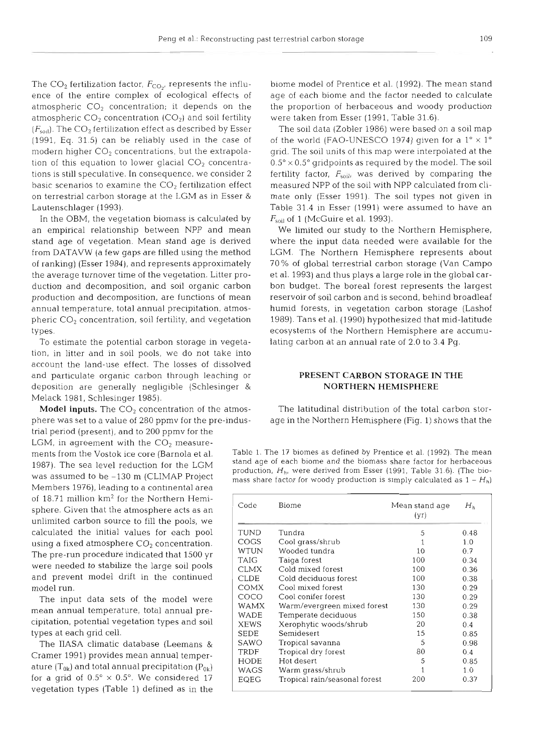The  $CO_2$  fertilization factor,  $F_{CO_2}$ , represents the influ- biome model of Prentice et al. (1992). The mean stand atmospheric  $CO<sub>2</sub>$  concentration ( $CO<sub>2</sub>$ ) and soil fertility were taken from Esser (1991, Table 31.6).  $(F_{\text{sol}})$ . The CO<sub>2</sub> fertilization effect as described by Esser The soil data (Zobler 1986) were based on a soil map

In the OBM, the vegetation biomass is calculated by  $F_{\text{soil}}$  of 1 (McGuire et al. 1993). an empirical relationship between NPP and mean We limited our study to the Northern Hemisphere, of ranking) (Esser 1984), and represents approximately

To estimate the potential carbon storage in vegeta- lating carbon at an annual rate of 2.0 to 3.4 Pg. tion, in litter and in soil pools, we do not take into account the land-use effect. The losses of dissolved and particulate organic carbon through leaching or **PRESENT CARBON STORAGE IN THE**  deposition are generally negligible (Schlesinger & **NORTHERN HEMISPHERE**  Melack 1981, Schlesinger 1985).

trial period (present), and to 200 ppmv for the unlimited carbon source to fill the pools, we LGM, in agreement with the  $CO<sub>2</sub>$  measure-Members 1976), leading to a continental area calculated the initial values for each pool using a fixed atmosphere  $CO<sub>2</sub>$  concentration. The pre-run procedure indicated that 1500 yr were needed to stabilize the large soil pools and prevent model drift in the continued model run. of 18.71 million  $km^2$  for the Northern Hemisphere. Given that the atmosphere acts as an

The input data sets of the model were mean annual temperature, total annual precipitation, potential vegetation types and soil types at each grid cell.

The IIASA climatic database (Leemans & Cramer 1991) provides mean annual temperature  $(T_{0k})$  and total annual precipitation  $(P_{0k})$ for a grid of  $0.5^{\circ} \times 0.5^{\circ}$ . We considered 17 vegetation types (Table 1) defined as in the

ence of the entire complex of ecological effects of age of each biome and the factor needed to calculate atmospheric  $CO<sub>2</sub>$  concentration; it depends on the the proportion of herbaceous and woody production

(1991, Eq. 31.5) can be reliably used in the case of of the world (FAO-UNESCO 1974) given for a  $1^\circ \times 1^\circ$ modern higher CO<sub>2</sub> concentrations, but the extrapola- grid. The soil units of this map were interpolated at the tion of this equation to lower glacial  $CO_2$  concentra-  $0.5^\circ \times 0.5^\circ$  gridpoints as required by the model. The soil tions is still speculative. In consequence, we consider 2 fertility factor,  $F_{\text{split}}$  was derived by comparing the basic scenarios to examine the  $CO<sub>2</sub>$  fertilization effect measured NPP of the soil with NPP calculated from clion terrestrial carbon storage at the LGM as in Esser & mate only (Esser 1991). The soil types not given in Lautenschlager (1993). Table 31.4 in Esser (1991) were assumed to have an

stand age of vegetation. Mean stand age is derived where the input data needed were available for the from DATAVW (a few gaps are filled using the method LGM. The Northern Hemisphere represents about<br>of ranking) (Esser 1984), and represents approximately 70% of global terrestrial carbon storage (Van Campo the average turnover time of the vegetation. Litter pro- et al. 1993) and thus plays a large role in the global carduction and decomposition, and soil organic carbon bon budget. The boreal forest represents the largest production and decomposition, are functions of mean reservoir of soil carbon and is second, behind broadleaf annual temperature, total annual precipitation, atmos-<br>
humid forests, in vegetation carbon storage (Lashof pheric  $CO_2$  concentration, soil fertility, and vegetation 1989). Tans et al. (1990) hypothesized that mid-latitude types. ecosystems of the Northern Hemisphere are accumu-

Model inputs. The CO<sub>2</sub> concentration of the atmos-<br>The latitudinal distribution of the total carbon storphere was set to a value of 280 ppmv for the pre-indus- age in the Northern Hemisphere (Fig. 1) shows that the

ments from the Vostok ice core (Barnola et al. Table 1. The 17 biomes as defined by Prentice et al. (1992). The mean<br>1097) The see level reduction for the LCM stand age of each biome and the biomass share factor for herbac 1987), The sea level reduction for the LGM stand age of each biome and the biomass share factor for herbaceous production, Hh, were derived from Esser (1991, Table 31.6). (The biomass share factor for woody production is simply calculated as  $1 - H_h$ )

| Code        | Biome                         | Mean stand age<br>(yr) | $H_h$ |
|-------------|-------------------------------|------------------------|-------|
| TUND        | Tundra                        | 5                      | 0.48  |
| COGS        | Cool grass/shrub              |                        | 1.0   |
| <b>WTUN</b> | Wooded tundra                 | 10                     | 0.7   |
| <b>TAIG</b> | Taiga forest                  | 100                    | 0.34  |
| <b>CLMX</b> | Cold mixed forest             | 100                    | 0.36  |
| <b>CLDE</b> | Cold deciduous forest         | 100                    | 0.38  |
| COMX        | Cool mixed forest             | 130                    | 0.29  |
| COCO        | Cool conifer forest           | 130                    | 0.29  |
| WAMX        | Warm/evergreen mixed forest   | 130                    | 0.29  |
| WADE        | Temperate deciduous           | 150                    | 0.38  |
| <b>XEWS</b> | Xerophytic woods/shrub        | 20                     | 0.4   |
| <b>SEDE</b> | Semidesert                    | 15                     | 0.85  |
| SAWO        | Tropical savanna              | 5                      | 0.98  |
| <b>TRDF</b> | Tropical dry forest           | 80                     | 0.4   |
| HODE        | Hot desert                    | 5                      | 0.85  |
| WAGS        | Warm grass/shrub              |                        | 1.0   |
| EQEG        | Tropical rain/seasonal forest | 200                    | 0.37  |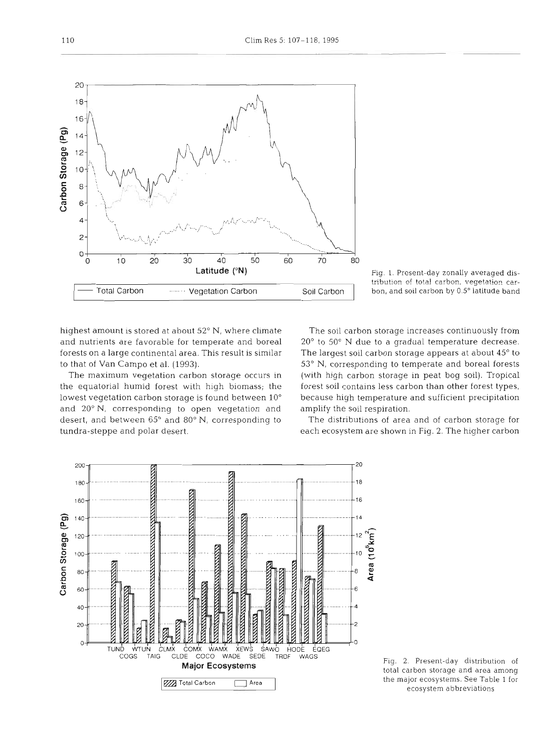highest amount is stored at about 52° N, where climate and nutrients are favorable for temperate and boreal forests on a large continental area. This result is similar to that of Van Campo et al. (1993).

The maximum vegetation carbon storage occurs in the equatorial humid forest with high biomass; the lowest vegetation carbon storage is found between 10° and 20" N, corresponding to open vegetation and desert, and between 65° and 80° N, corresponding to tundra-steppe and polar desert.

The soil carbon storage increases continuously from 20° to 50° N due to a gradual temperature decrease. The largest soil carbon storage appears at about 45° to 53" N, corresponding to temperate and boreal forests (with high carbon storage in peat bog soil). Tropical forest soil contains less carbon than other forest types, because high temperature and sufficient precipitation amplify the soil respiration.

The distributions of area and of carbon storage for each ecosystem are shown in Fig. *2.* The higher carbon





tribution of total carbon, vegetation carbon, and soil carbon by 0.5° latitude band

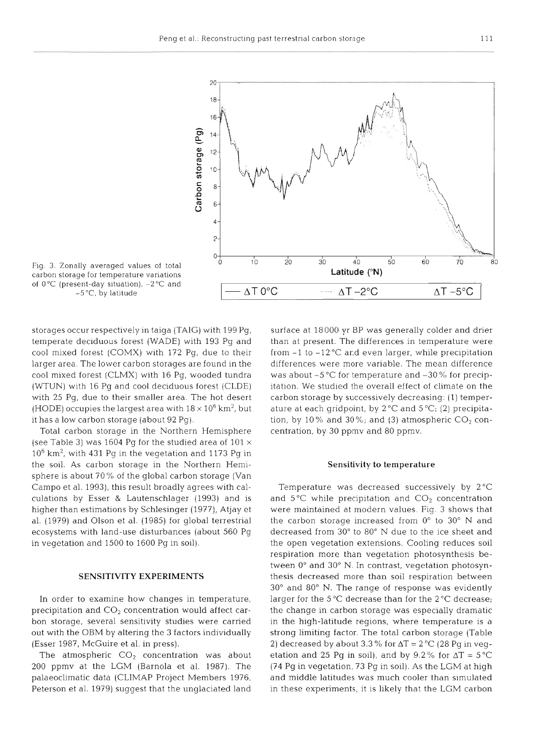

Fig. 3. Zonally averaged values of total carbon storage for temperature vanations of  $0^{\circ}$ C (present-day situation),  $-2^{\circ}$ C and  $-5$  °C, by latitude

storages occur respectively in taiga (TAIG) with 199 Pg, temperate deciduous forest (WADE) with 193 Pg and cool mixed forest (COMX) with  $172$  Pg, due to their larger area. The lower carbon storages are found in the cool mixed forest (CLMX) with 16 Pg, wooded tundra (WTUN) with 16 Pg and cool deciduous forest (CLDE) with 25 Pg, due to their smaller area. The hot desert (HODE) occupies the largest area with  $18 \times 10^6$  km<sup>2</sup>, but it has a low carbon storage (about 92 Pg)

Total carbon storage in the Northern Hemisphere (see Table 3) was 1604 Pg for the studied area of  $101 \times$  $10^6$  km<sup>2</sup>, with 431 Pg in the vegetation and 1173 Pg in the soil As carbon storage in the Northern Hemisphere is about 70 % of the global carbon storage (Van Campo et al. 1993), this result broadly agrees with calculations by Esser & Lautenschlager (1993) and is higher than estimations by Schlesinger (1977), Atjay et al. (1979) and Olson et al. (1985) for global terrestrial ecosystems with land-use disturbances (about 560 Pg in vegetation and 1500 to 1600 Pg in soil)

### **SENSITIVITY EXPERIME**

In order to examine how changes in temperature, precipitation and  $CO<sub>2</sub>$  concentration would affect carbon storage, several sensitivity studies were carried out with the OBM by altering the 3 factors individually (Esser 1987, McGuire et al. in press).

The atmospheric  $CO<sub>2</sub>$  concentration was about 200 ppmv at the LGM (Barnola et al. 1987). The palaeoclimatic data (CLIMAP Project Members 1976, Peterson et al. 1979) suggest that the unglaciated land

surface at 18000 yr BP was generally colder and drier than at present. The differences in temperature were from -1 to -12°C and even larger, while precipitation e — differences were more variable. The mean diffe: was about  $-5^{\circ}$ C for temperature and  $-30\%$  for precip- $\Xi$  itation. We studied the overall effect of climate o carbon storage by successively decreasing: (1) temperature at each gridpoint, by  $2^{\circ}C$  and  $5^{\circ}C$ ; (2) precipitation, by 10% and 30%; and (3) atmospheric  $CO<sub>2</sub>$  concentration, by 30 ppmv and 80 ppmv.

### **Sensitivity to temperature**

Temperature was decreased successively by 2°C and  $5^{\circ}$ C while precipitation and  $CO<sub>2</sub>$  concentration were maintained at modern values. Fig. 3 shows that the carbon storage increased from  $0^{\circ}$  to  $30^{\circ}$  N and q decreased from  $30^{\circ}$  to  $80^{\circ}$  N due to the ice shee the open vegetation extensions. Cooling reduces soil respiration more than vegetation photosynthesis between 0° and 30° N. In contrast, vegetation photosynthesis decreased more than soil respiration between 30" and 80" N. The range of response was evidently larger for the 5 "C decrease than for the 2 *"C* decrease; the change in carbon storage was especially dramatic in the high-latitude regions, where temperature is a strong limiting factor. The total carbon storage (Table 2) decreased by about 3.3 % for  $\Delta T = 2$  °C (28 Pg in vegetation and 25 Pg in soil), and by 9.2% for  $\Delta T = 5^{\circ}C$ (74 Pg in vegetation, 73 Pg in soil). As the LGM at high  $\mathfrak{d}_i$  and middle latitudes was much cooler than simu in these experiments, it is likely that the LGM carbon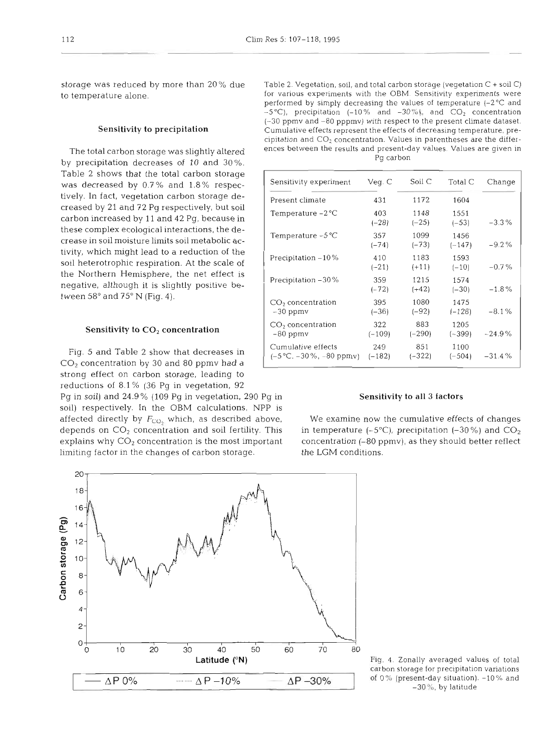storage was reduced by more than 20% due to temperature alone.

# Sensitivity to precipitation

The total carbon storage was slightly altered by precipitation decreases of 10 and 30%. Table 2 shows that the total carbon storage was decreased by 0.7% and 1.8% respectively. In fact, vegetation carbon storage decreased by 21 and 72 Pg respectively, but soil carbon increased by 11 and 42 Pg, because in these complex ecological interactions, the decrease in soil moisture limits soil metabolic activity, which might lead to a reduction of the soil heterotrophic respiration. At the scale of the Northern Hemisphere, the net effect is negative, although it is slightly positive between 58° and 75° N (Fig. 4).

### Sensitivity to  $CO<sub>2</sub>$  concentration

strong effect on carbon storage, leading to reductions of 8.1 % (36 Pg in vegetation, 92 Pg in soil) and 24.9% (109 Pg in vegetation, 290 Pg in Sensitivity to all 3 factors soil) respectively. In the OBM calculations, NPP is limiting factor in the changes of carbon storage. the LGM conditions. Fig. 5 and Table 2 show that decreases in *CO2* concentration by 30 and 80 ppmv had a

| Sensitivity experiment                                       | Veg. C          | Soil C          | Total C          | Change   |
|--------------------------------------------------------------|-----------------|-----------------|------------------|----------|
| Present climate                                              | 431             | 1172            | 1604             |          |
| Temperature $-2$ °C                                          | 403<br>$(-28)$  | 1148<br>$(-25)$ | 1551<br>$(-53)$  | $-3.3%$  |
| Temperature $-5^{\circ}$ C                                   | 357<br>$(-74)$  | 1099<br>$(-73)$ | 1456<br>$(-147)$ | $-9.2%$  |
| Precipitation $-10\%$                                        | 410<br>$(-21)$  | 1183<br>$(+11)$ | 1593<br>$(-10)$  | $-0.7%$  |
| Precipitation - 30%                                          | 359<br>$(-72)$  | 1215<br>$(+42)$ | 1574<br>$(-30)$  | $-1.8\%$ |
| CO <sub>2</sub> concentration<br>$-30$ ppm $v$               | 395<br>$(-36)$  | 1080<br>$(-92)$ | 1475<br>$(-128)$ | $-8.1%$  |
| CO <sub>2</sub> concentration<br>$-80$ ppmy                  | 322<br>$(-109)$ | 883<br>$(-290)$ | 1205<br>$(-399)$ | $-24.9%$ |
| Cumulative effects<br>$(-5\degree C, -30\% , -80\text{ ppm}$ | 249<br>$(-182)$ | 851<br>$(-322)$ | 1100<br>$(-504)$ | $-31.4%$ |

affected directly by *Fc:o,* which, as described above, We examine now the cumulative effects of changes depends on *CO2* concentration and soil fertility. This in temperature (-5"C), precipitation (-30%) and *CO2*  explains why  $CO_2$  concentration is the most important concentration (-80 ppmv), as they should better reflect



carbon storage for precipitation variations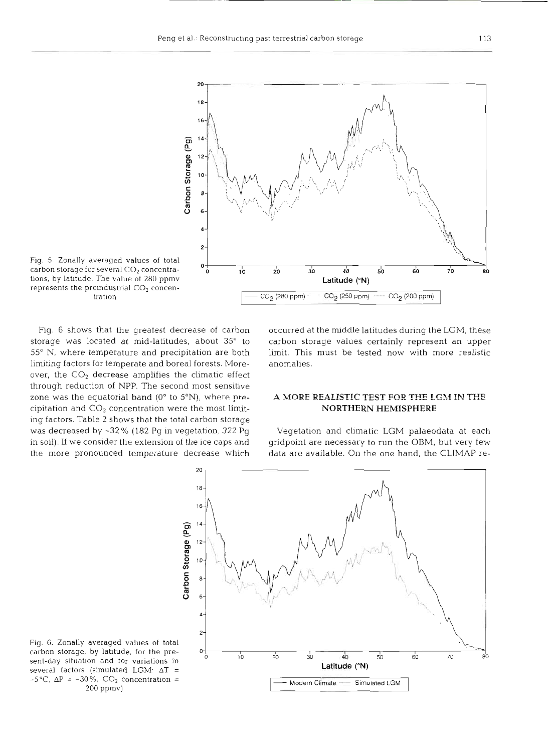

Fig. 5. Zonally averaged values of total carbon storage for several  $CO<sub>2</sub>$  concentrations, by latitude. The value of 280 ppmv represents the preindustrial  $CO<sub>2</sub>$  concentrat

limiting factors for temperate and boreal forests. More- anomalies. over, the  $CO<sub>2</sub>$  decrease amplifies the climatic effect through reduction of NPP. The second most sensitive zone was the equatorial band (0° to 5°N), where pre-<br>A MORE REALISTIC TEST FOR THE LGM IN THE cipitation and CO2 concentration were the most limit- **NORTHERN HEMISPHERE**  ing factors. Table **2** shows that the total carbon storage was decreased by **-32** % (182 **Pg** in vegetation, **322** Pg Vegetation and climatic LGM palaeodata at each

Fig. 6 shows that the greatest decrease of carbon occurred at the middle latitudes during the LGM, these storage was located at mid-latitudes, about 35° to carbon storage values certainly represent an upper 55" N, where temperature and precipitation are both limit. This must be tested now with more realistic

in soil). If we consider the extension of the ice caps and gridpoint are necessary to run the OBM, but very few the more pronounced temperature decrease which data are available. On the one hand, the CLIMAP re-



Fig. 6. Zonally averaged values of total several factors (simulated LGM:  $\Delta T$  = 200 ppmv)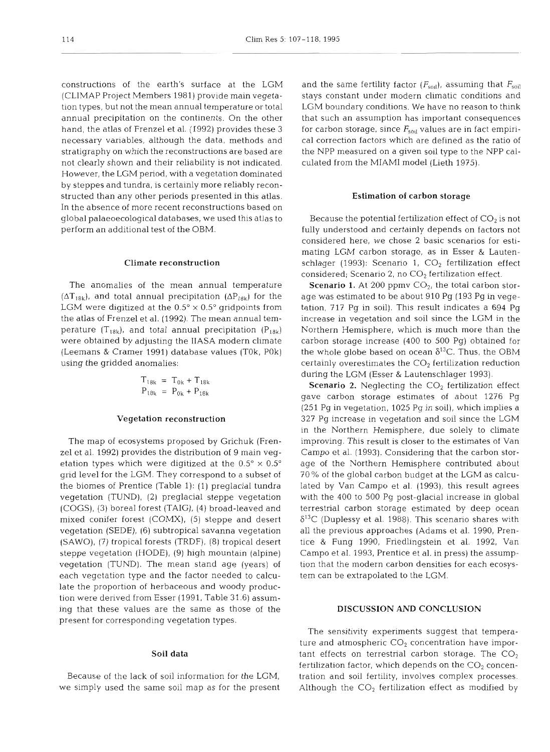constructions of the earth's surface at the LGM (CLIMAP Project Members 1981) provide main vegetation types, but not the mean annual temperature or total annual precipitation on the continents. On the other hand, the atlas of Frenzel et al. (1992) provides these 3 necessary variables, although the data, methods and stratigraphy on which the reconstructions are based are not clearly shown and their reliability is not indicated. However, the LGM period, with a vegetation dominated by steppes and tundra, is certainly more reliably reconstructed than any other periods presented in this atlas. In the absence of more recent reconstructions based on global palaeoecological databases, we used this atlas to perform an additional test of the OBM.

# Climate reconstruction

The anomalies of the mean annual temperature  $(\Delta T_{18k})$ , and total annual precipitation  $(\Delta P_{18k})$  for the LGM were digitized at the  $0.5^{\circ} \times 0.5^{\circ}$  gridpoints from the atlas of Frenzel et al. (1992). The mean annual temperature (T<sub>18k</sub>), and total annual precipitation (P<sub>18k</sub>) were obtained by adjusting the IIASA modern climate (Leemans & Cramer 1991) database values (TOk, POk) using the gridded anomalies:

$$
T_{18k} = T_{0k} + T_{18k}
$$
  

$$
P_{18k} = P_{0k} + P_{18k}
$$

### Vegetation reconstruction

The map of ecosystems proposed by Grichuk (Frenzel et al. 1992) provides the distribution of 9 main vegetation types which were digitized at the  $0.5^{\circ} \times 0.5^{\circ}$ grid level for the LGM. They correspond to a subset of the biomes of Prentice (Table 1): (1) preglacial tundra vegetation (TUND), (2) preglacial steppe vegetation (COGS), (3) boreal forest (TAIG), (4) broad-leaved and mixed conifer forest (COMX), (5) steppe and desert vegetation (SEDE), (6) subtropical savanna vegetation (SAWO), (7) tropical forests (TRDF), (8) tropical desert steppe vegetation (HODE), (9) high mountain (alpine) vegetation (TUND). The mean stand age (years) of each vegetation type and the factor needed to calculate the proportion of herbaceous and woody production were derived from Esser (1991. Table 31.6) assuming that these values are the same as those of the present for corresponding vegetation types.

# Soil data

Because of the lack of soil information for the LGM, we simply used the same soil map as for the present

and the same fertility factor  $(F_{\text{sol}})$ , assuming that  $F_{\text{sol}}$ stays constant under modern climatic conditions and LGM boundary conditions. We have no reason to think that such an assumption has important consequences for carbon storage, since  $F_{\text{snil}}$  values are in fact empirical correction factors which are defined as the ratio of the NPP measured on a given soil type to the NPP calculated from the MIAMI model (Lieth 1975).

### Estimation **of** carbon storage

Because the potential fertilization effect of  $CO<sub>2</sub>$  is not fully understood and certainly depends on factors not considered here, we chose 2 basic scenarios for estimating LGM carbon storage, as in Esser & Lautenschlager (1993): Scenario 1,  $CO<sub>2</sub>$  fertilization effect considered; Scenario 2, no  $CO<sub>2</sub>$  fertilization effect.

**Scenario 1.** At 200 ppmv  $CO<sub>2</sub>$ , the total carbon storage was estimated to be about 910 Pg (193 Pg in vegetation, 717 Pg in soil). This result indicates a 694 Pg increase in vegetation and soil since the LGM in the Northern Hemisphere, which is much more than the carbon storage increase (400 to 500 Pg) obtained for the whole globe based on ocean  $\delta^{13}$ C. Thus, the OBM certainly overestimates the  $CO<sub>2</sub>$  fertilization reduction during the LGM (Esser & Lautenschlager 1993).

**Scenario 2.** Neglecting the  $CO<sub>2</sub>$  fertilization effect gave carbon storage estimates of about 1276 Pg (251 Pg in vegetation, 1025 Pg in soil), which implies a 327 Pg increase in vegetation and soil since the LGM in the Northern Hemisphere, due solely to climate improving. This result is closer to the estimates of Van Campo et al. (1993). Considering that the carbon storage of the Northern Hemisphere contributed about 70 % of the global carbon budget at the LGM as calculated by Van Campo et al. (1993), this result agrees with the 400 to 500 Pg post-glacial increase in global terrestrial carbon storage estimated by deep ocean  $\delta^{13}$ C (Duplessy et al. 1988). This scenario shares with all the previous approaches (Adams et al. 1990, Prentice & Fung 1990, Friedlingstein et al. 1992, Van Campo et al. 1993, Prentice et al. in press) the assumption that the modern carbon densities for each ecosystem can be extrapolated to the LGM.

# DISCUSSION AND CONCLUSION

The sensitivity experiments suggest that temperature and atmospheric  $CO<sub>2</sub>$  concentration have important effects on terrestrial carbon storage. The  $CO<sub>2</sub>$ fertilization factor, which depends on the  $CO<sub>2</sub>$  concentration and soil fertility, involves complex processes. Although the  $CO<sub>2</sub>$  fertilization effect as modified by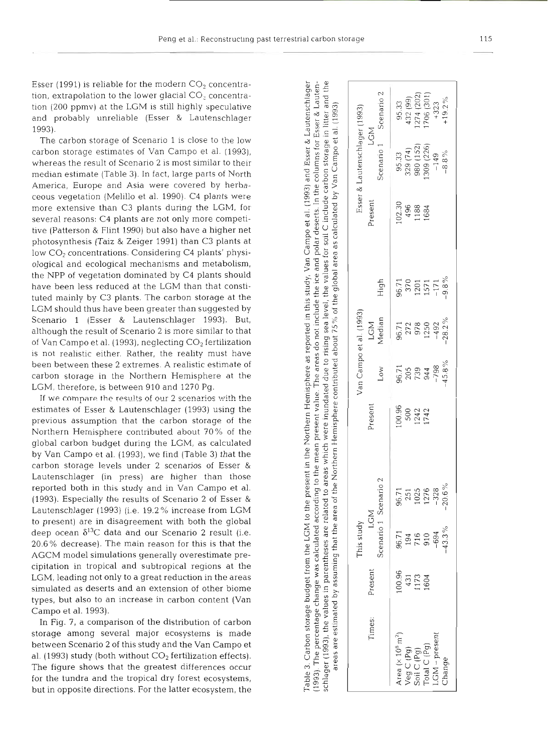Esser (1991) is reliable for the modern  $CO<sub>2</sub>$  concentration, extrapolation to the lower glacial  $CO<sub>2</sub>$  concentration (200 ppmv) at the LGM is still highly speculative and probably unreliable (Esser & Lautenschlager 1993).

The carbon storage of Scenario 1 is close to the low carbon storage estimates of Van Campo et al. (1993), whereas the result of Scenario 2 is most similar to th median estimate (Table 3). In fact, large parts of North America, Europe and Asia were covered by herbaceous vegetation (Melillo et al. 1990). C4 plants were more extensive than C3 plants during the LGM, for several reasons: C4 plants are not only more competitive (Patterson & Flint 1990) but also have a higher net photosynthesis (Taiz & Zeiger 1991) than C3 plants at low CO<sub>2</sub> concentrations. Considering C4 plants' physiological and ecological mechanisms and metabolism, the NPP of vegetation dominated by C4 plants should have been less reduced at the LGM than that constituted mainly by C3 plants. The carbon storage at the LGM should thus have been greater than suggested by Scenario 1 (Esser & Lautenschlager 1993). But, although the result of Scenario 2 is more similar to that of Van Campo et al. (1993), neglecting CO<sub>2</sub> fertilization is not realistic either. Rather, the reality must have been between these 2 extremes. A realistic estimate carbon storage in the Northern Hemisphere at the LGM, therefore, is between 910 and 1270 Pg.

If we compare the results of our 2 scenarios with the estimates of Esser & Lautenschlager (1993) using the previous assumption that the carbon storage of the Northern Hemisphere contributed about 70% of the global carbon budget during the LGM, as calculated by Van Campo et al. (1993), we find (Table 3) that the carbon storage levels under 2 scenarios of Esser & Lautenschlager (in press) are higher than those reported both in this study and in Van Campo et al. (1993). Especially the results of Scenario 2 of Esser & Lautenschlager (1993) (i.e. 19.2% increase from LGM to present) are in disagreement with both the global deep ocean  $\delta^{13}$ C data and our Scenario 2 result (i.e. 20.6% decrease). The main reason for this is that the AGCM model simulations generally overestimate precipitation in tropical and subtropical regions at the LGM, leading not only to a great reduction in the areas simulated as deserts and an extension of other biom types, but also to an increase in carbon content (Van Campo et al. 1993).

In Fig. 7, a comparison of the distribution of carbon storage among several major ecosystems is made between Scenario 2 of this study and the Van Campo et al. (1993) study (both without  $CO<sub>2</sub>$  fertilization effects). The figure shows that the greatest differences occur for the tundra and the tropical dry forest ecosystems, but in opposite directions. For the latter ecosystem, the

Table 3. Carbon storage budget from the LGM to the present in the Northern Hemisphere as reported in this study, Van Campo et al. (1993) and Esser & Lautenschlager 1993). The percentage change was calculated according to the mean present value. The areas do not include the ice and polar deserts. In the columns for Esser & Lautenin litter and the Campo et al. (1993) include carbon storage as calculated by Van  $\circ$ for soil of the global area the values level, 75% were inundated due to rising sea contributed about Northern Hemisphere to areas which the schlager (1993), the values in parentheses are related t area of assuming that the δy estimated areas are

|                               |                              |                                                                                                        | 95.33<br>432 (99)<br>$(274 (202)$<br>$(706 (301)$<br>$+323$<br>$+19.2\%$    |
|-------------------------------|------------------------------|--------------------------------------------------------------------------------------------------------|-----------------------------------------------------------------------------|
| Esser & Lautenschlager (1993) | Scenario 1 Scenario 2<br>LGM |                                                                                                        | 95.33<br>329 (74)<br>980 (152)<br>980 (226)<br>149<br>-8.8%                 |
|                               | Present                      | $\frac{102.30}{496}$<br>1188<br>1684                                                                   |                                                                             |
|                               | High                         |                                                                                                        | $\begin{array}{c} 96.71 \\ 370 \\ 1201 \\ 1571 \\ -171 \\ -9.8 \end{array}$ |
|                               | LGM<br>Median                |                                                                                                        | $96.71$<br>$272$<br>$978$<br>$1250$<br>$1492$<br>$-48.2\%$                  |
| /an Campo et al. (1993)       | Low                          |                                                                                                        | 96.71<br>205<br>739<br>798<br>-798<br>-45.8%                                |
|                               | Present                      | 00.96<br>500<br>1242<br>1742                                                                           |                                                                             |
|                               |                              |                                                                                                        | 96.71<br>251<br>1025<br>1276<br>-328<br>-20.6%                              |
| This study                    | Scenario 1 Scenario 2<br>LGM | 96.71<br>194<br>716<br>1094<br>1094                                                                    | $-43.3%$                                                                    |
|                               | Present                      | 100.96<br>431<br>1173<br>1604                                                                          |                                                                             |
|                               | Times:                       | Area (x 10 <sup>6</sup> m <sup>2</sup> )<br>Veg C (Pg)<br>Soil C (Pg)<br>Total C (Pg)<br>LGM – present | Change                                                                      |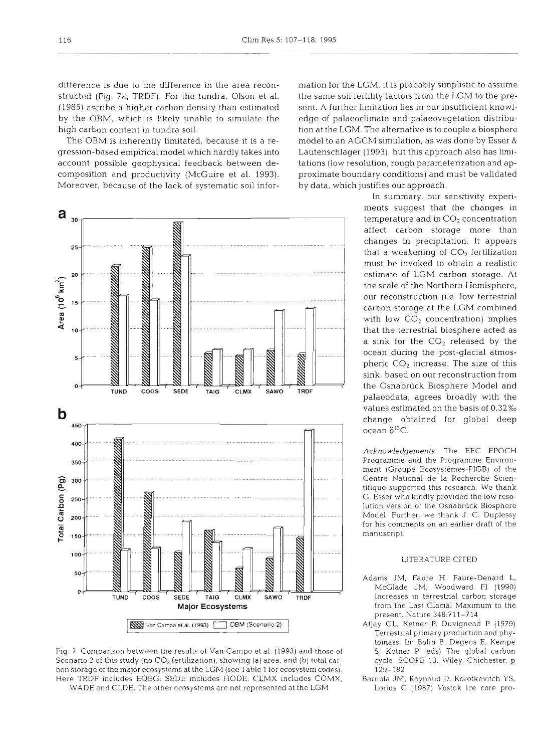structed (Fig. 7a, TRDF). For the tundra, Olson et al. the same soil fertility factors from the LGM to the pre-(1985) ascribe a higher carbon density than estimated sent. A further limitation lies in our insufficient knowlby the OBM, which is likely unable to simulate the edge of palaeoclimate and palaeovegetation distribuhigh carbon content in tundra soil. tion at the LGM. The alternative is to couple a biosphere

gression-based empirical model which hardly takes into Lautenschlager (1993), but this approach also has limiaccount possible geophysical feedback between de- tations (low resolution, rough parameterization and apcomposition and productivity (McGuire et al. 1993). proximate boundary conditions) and must be validated Moreover, because of the lack of systematic soil infor- by data, which justifies our approach.



Fig. 7 Comparison between the results of Van Campo et al. (1993) and those of S, Ketner P (eds) The global carbon Scenario 2 of this study (no  $CO_2$  fertilization), showing (a) area, and (b) total car- cycle. SCOPE 13. Wiley, Chichester, p bon storage of the major ecosystems at the LGM (see Table 1 for ecosystem codes). 129-182 Here TRDF includes EQEG; SEDE includes HODE. CLMX includes COMX, Barnola JM, Raynaud D, Korotkevitch YS, WADE and CLDE. The other ecosystems are not represented at the LGM Lorius C (1987) Vostok ice core pro-

difference is due to the difference in the area recon- mation for the LGM, it is probably simplistic to assume The OBM is inherently limitated, because it is a re- model to an AGCM simulation, as was done by Esser &

> In summary, our sensitivity experiments suggest that the changes in temperature and in  $CO<sub>2</sub>$  concentration affect carbon storage more than changes in precipitation. It appears that a weakening of  $CO<sub>2</sub>$  fertilization must be invoked to obtain a realistic estimate of LGM carbon storage. At the scale of the Northern Hemisphere, our reconstruction (i.e. low terrestrial carbon storage at the LGM combined with low  $CO<sub>2</sub>$  concentration) implies that the terrestrial biosphere acted as a sink for the  $CO<sub>2</sub>$  released by the ocean during the post-glacial atmospheric  $CO<sub>2</sub>$  increase. The size of this sink, based on our reconstruction from the Osnabriick Biosphere Model and palaeodata, agrees broadly with the ocean  $\delta^{13}$ C.

> Acknowledgements. The EEC EPOCH Programme and the Programme Environment (Groupe Ecosystemes-PlGB) of the Centre National de la Recherche Scientifique supported this research We thank G. Esser who kindly provided the low resolution version of the Osnabrück Biosphere Model. Further, we thank J. C. Duplessy for his comments on an earlier draft of the manuscript.

# LITERATURE CITED

- Adams JM, Faure H, Faure-Denard L, McGlade JM, Woodward F1 (1990) present. Nature 348:?11-714
- Terrestrial primary production and phytomass. In: Bolin B, Degens E, Kempe
-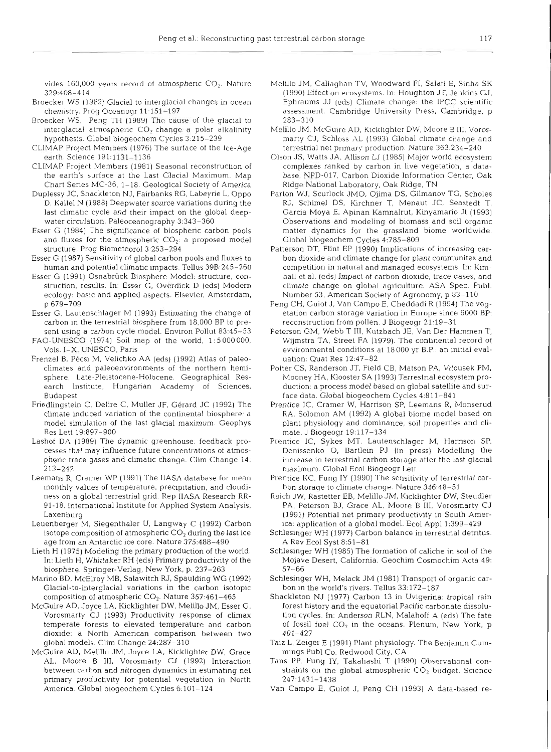vides 160,000 years record of atmospheric  $CO<sub>2</sub>$ . Nature 329:408-414

- Broecker WS (1982) Glacial to interglacial changes in ocean chemistry. Prog Oceanogr 11:151-197
- Broecker WS, Peng TH (1989) The cause of the glacial to interglacial atmospheric  $CO<sub>2</sub>$  change a polar alkalinity hypothesis. Global biogeochem Cycles 3:215-239
- CLIMAP Project Members (1976) The surface of the Ice-Age earth. Science 191:1131-1136
- CLIMAP Project Members (1981) Seasonal reconstruction of the earth's surface at the Last Glacial Maximum. Map Chart Series MC-36, 1-18. Geological Society of America
- Duplessy JC, Shackleton NJ. Fairbanks RG. Labeyrie L, Oppo D, Kallel N (1988) Deepwater source variations during the last climatic cycle and their impact on the global deepwater circulation. Paleoceanography 3:343-360
- Esser G (1984) The significance of biospheric carbon pools and fluxes for the atmospheric  $CO<sub>2</sub>$ : a proposed model structure. Prog Biometeorol3:253-294
- Esser G (1987) Sensitivity of global carbon pools and fluxes to human and potential climatic impacts Tellus 39B:245-260
- Esser G (1991) Osnabriick Biosphere Model: structure, construction, results. In: Esser G, Overdick D (eds) Modern ecology: basic and applied aspects. Elsevier, Amsterdam, p 679-709
- Esser G, Lautenschlager M (1993) Estimating the change of carbon in the terrestrial biosphere from 18,000 BP to present using a carbon cycle model. Environ Pollut 83:45-53
- FAO-UNESCO (1974) Soil map of the world, 1: 5 000000, Vols. I-X. UNESCO, Paris
- Frenzel B, Pécsi M, Velichko AA (eds) (1992) Atlas of paleoclimates and paleoenvironments of the northern hemisphere, Late-Pleistocene-Holocene. Geographical Research Institute, Hungarian Academy of Sciences, Budapest
- Friedlingstein C, Delire C, Muller JF, Gerard JC (1992) The climate induced variation of the continental biosphere: a model simulation of the last glacial maximum. Geophys Res Lett 19:897-900
- Lashof DA (1989) The dynamic greenhouse. feedback processes that may influence future concentrations of atmospheric trace gases and climatic change. Clim Change 14: 213-242
- Leemans R, Cramer WP (1991) The IIASA database for mean monthly values of temperature, precipitation, and cloudiness on a global terrestrial grid. Rep lIASA Research RR-91-18. International lnstitute for Applied System Analysis, Laxenburg
- Leuenberger M, Siegenthaler U, Langway C (1992) Carbon isotope composition of atmospheric  $CO<sub>2</sub>$  during the last ice age from an Antarctic ice core. Nature 375:488-490
- Lieth H (1975) Modeling the primary production of the world. In: Lieth H, Whittaker RH (eds) Primary productivity of the biosphere. Springer-Verlag. New York. p. 237-263
- Marino BD, McElroy MB, Salawitch RJ, Spaulding WG (1992) Glacial-to-interglacial variations in the carbon isotopic composition of atmospheric  $CO<sub>2</sub>$ . Nature 357:461-465
- McGuire AD, Joyce LA, fficklighter DW, Melillo JM, Esser G. Vorosmarty CJ (1993) Productivity response of climax temperate forests to elevated temperature and carbon dioxide: a North American comparison between two global models. Clim Change 24:28?-310
- McGuire AD, Melillo JM, Joyce LA, Kicklighter DW, Grace AL, Moore B **111,** Vorosmarty CJ (1992) Interaction between carbon and nitrogen dynamics in estimating net primary productivity for potential vegetation in North America Global biogeochem Cycles 6-101-124
- Melillo JM, Callaghan TV, Woodward FI, Salati E, Sinha SK (1990) Effect on ecosystems. In: Houghton JT, Jenkins GJ, Ephraums JJ (eds) Climate change: the IPCC scientific assessment. Cambridge University Press, Cambridge, p 283-310
- Melillo JM, McGuire AD, Kicklighter DW, Moore B 111, Vorosmarty CJ, Schloss AL (1993) Global climate change and terrestrial net primary production. Nature 363:234-240
- Olson JS, Watts JA, Allison LJ (1985) Major world ecosystem complexes ranked by carbon in live vegetation, a database. NPD-017, Carbon Dioxide Information Center, Oak Ridge National Laboratory, Oak Ridge, TN
- Parton WJ, Scurlock JMO, Ojima DS, Gilmanov TG, Scholes RJ, Schimel DS, Kirchner T, Menaut JC, Seastedt T, Garcia Moya E. Apinan Kamnalrut, Kinyamario JI (1993) Observations and modeling of biomass and soil organic matter dynamics for the grassland biome worldwide. Global biogeochem Cycles 4:785-809
- Patterson DT, Flint EP (1990) Implications of increasing carbon dioxide and climate change for plant communites and competition in natural and managed ecosystems. In: Kimball et al. (eds) Impact of carbon dioxide, trace gases, and climate change on global agriculture. ASA Spec. Publ. Number **53,** American Society of Agronomy, p 83-110
- Peng CH, Guiot J, Van Campo E, Cheddadi R (1994) The vegetation carbon storage variation in Europe since 6000 BP: reconstruction from pollen. J Biogeogr 21:19-31
- Peterson GM, Webb T 111, Kutzbach JE, Van Der Hammen T, Wijmstra TA, Street FA (1979). The continental record of ewironmental conditions at 18000 yr B.P.: an initial evaluation: Quat Res 12:47-82
- Potter CS, Randerson JT, Field CB, Matson PA, Vitousek PM, Mooney HA, Klooster SA (1993) Terrestrial ecosystem production: a process model based on global satellite and surface data. Global blogeochem Cycles 4:811-841
- Prentice IC. Cramer W, Harrison SP, Leemans R. Monserud RA, Solomon AM (1992) A global biome model based on plant physiology and dominance, soil properties and climate J Biogeogr 19.1 17-134
- Prentice IC, Sykes MT, Lautenschlager M, Harrison SP, Denissenko 0. Bartlein PJ (in press) Modelling the increase in terrestrial carbon storage after the last glacial maximum. Global Ecol Biogeogr Lett
- Prentice KC, Fung IY (1990) The sensitivity of terrestrial carbon storage to climate change. Nature 346:48–51
- Raich JW, Rastetter EB, Melillo JM, Kicklighter DW, Steudler PA. Peterson BJ, Grace AL, Moore B 111, Vorosmarty CJ (1991) Potential net primary productivity in South America: application of a global model. Ecol Appl 1:399-429
- Schlesinger WH (1977) Carbon balance in terrestrial detritus. A Rev Ecol Syst 8:51-81
- Schlesinger WH (1985) The formation of caliche in soil of the Mojave Desert. California. Geochim Cosmochim Acta 49: 57-66
- Schlesinger WH, Melack JM (1981) Transport of organic carbon in the world's rivers. Tellus 33.172-187
- Shackleton NJ (1977) Carbon 13 in Uvigerina: tropical rain forest history and the equatorial Pacific carbonate dissolution cycles. In: Anderson RLN, Malahoff A (eds) The fate of fossil fuel  $CO<sub>2</sub>$  in the oceans. Plenum, New York, p  $401 - 42$
- Taiz L, Zeiger E (1991) Plant physiology. The Benjamin Cummings Publ CO, Redwood City, CA
- Tans PP, Fung IY. Takahashi T (1990) Observational constraints on the global atmospheric  $CO<sub>2</sub>$  budget. Science 247~1431-1438
- Van Campo E, Guiot J, Peng CH (1993) A data-based re-